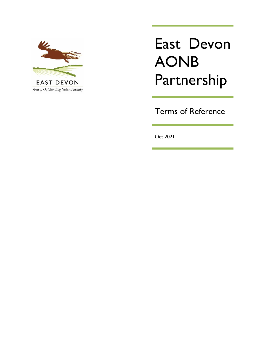

# East Devon AONB Partnership

Terms of Reference

Oct 2021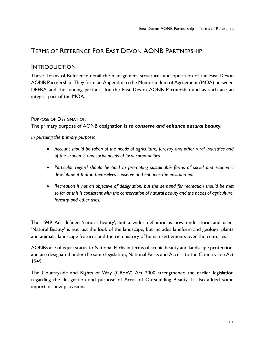# TERMS OF REFERENCE FOR EAST DEVON AONB PARTNERSHIP

# INTRODUCTION

These Terms of Reference detail the management structures and operation of the East Devon AONB Partnership. They form an Appendix to the Memorandum of Agreement (MOA) between DEFRA and the funding partners for the East Devon AONB Partnership and as such are an integral part of the MOA.

# PURPOSE OF DESIGNATION

The primary purpose of AONB designation is *to conserve and enhance natural beauty.*

*In pursuing the primary purpose:*

- *Account should be taken of the needs of agriculture, forestry and other rural industries and of the economic and social needs of local communities.*
- *Particular regard should be paid to promoting sustainable forms of social and economic development that in themselves conserve and enhance the environment.*
- *Recreation is not an objective of designation, but the demand for recreation should be met so far as this is consistent with the conservation of natural beauty and the needs of agriculture, forestry and other uses.*

The 1949 Act defined 'natural beauty', but a wider definition is now understood and used: 'Natural Beauty' is not just the look of the landscape, but includes landform and geology, plants and animals, landscape features and the rich history of human settlements over the centuries.'

AONBs are of equal status to National Parks in terms of scenic beauty and landscape protection, and are designated under the same legislation, National Parks and Access to the Countryside Act 1949.

The Countryside and Rights of Way (CRoW) Act 2000 strengthened the earlier legislation regarding the designation and purpose of Areas of Outstanding Beauty. It also added some important new provisions: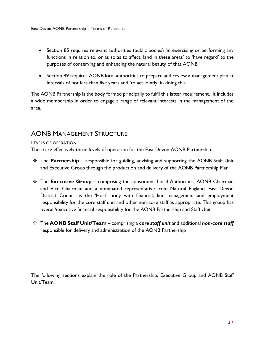- Section 85 requires relevant authorities (public bodies) 'in exercising or performing any functions in relation to, or as so as to affect, land in these areas' to 'have regard' to the purposes of conserving and enhancing the natural beauty of that AONB
- Section 89 requires AONB local authorities to prepare and review a management plan at intervals of not less than five years and 'to act jointly' in doing this.

The AONB Partnership is the body formed principally to fulfil this latter requirement. It includes a wide membership in order to engage a range of relevant interests in the management of the area.

# AONB MANAGEMENT STRUCTURE

## LEVELS OF OPERATION

There are effectively three levels of operation for the East Devon AONB Partnership.

- ❖ The **Partnership** responsible for guiding, advising and supporting the AONB Staff Unit and Executive Group through the production and delivery of the AONB Partnership Plan
- ❖ The **Executive Group** comprising the constituent Local Authorities, AONB Chairman and Vice Chairman and a nominated representative from Natural England. East Devon District Council is the 'Host' body with financial, line management and employment responsibility for the core staff unit and other non-core staff as appropriate. This group has overall/executive financial responsibility for the AONB Partnership and Staff Unit
- ❖ The **AONB Staff Unit/Team** comprising a *core staff unit* and additional *non-core staff* responsible for delivery and administration of the AONB Partnership

The following sections explain the role of the Partnership, Executive Group and AONB Staff Unit/Team.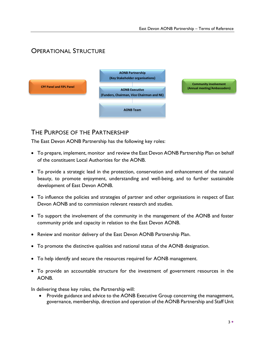# OPERATIONAL STRUCTURE



# THE PURPOSE OF THE PARTNERSHIP

The East Devon AONB Partnership has the following key roles:

- To prepare, implement, monitor and review the East Devon AONB Partnership Plan on behalf of the constituent Local Authorities for the AONB.
- To provide a strategic lead in the protection, conservation and enhancement of the natural beauty, to promote enjoyment, understanding and well-being, and to further sustainable development of East Devon AONB.
- To influence the policies and strategies of partner and other organisations in respect of East Devon AONB and to commission relevant research and studies.
- To support the involvement of the community in the management of the AONB and foster community pride and capacity in relation to the East Devon AONB.
- Review and monitor delivery of the East Devon AONB Partnership Plan.
- To promote the distinctive qualities and national status of the AONB designation.
- To help identify and secure the resources required for AONB management.
- To provide an accountable structure for the investment of government resources in the AONB.

In delivering these key roles, the Partnership will:

• Provide guidance and advice to the AONB Executive Group concerning the management, governance, membership, direction and operation of the AONB Partnership and Staff Unit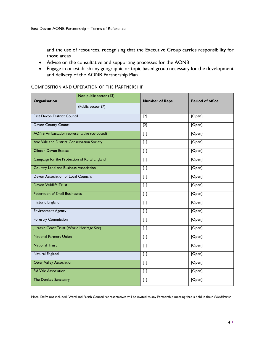and the use of resources, recognising that the Executive Group carries responsibility for those areas

- Advise on the consultative and supporting processes for the AONB
- Engage in or establish any geographic or topic based group necessary for the development and delivery of the AONB Partnership Plan

# COMPOSITION AND OPERATION OF THE PARTNERSHIP

| Organisation                                 | Non-public sector (13) | <b>Number of Reps</b> | <b>Period of office</b> |
|----------------------------------------------|------------------------|-----------------------|-------------------------|
|                                              | (Public sector (7)     |                       |                         |
| <b>East Devon District Council</b>           |                        | $[2]$                 | [Open]                  |
| Devon County Council                         |                        | $[2]$                 | [Open]                  |
| AONB Ambassador representative (co-opted)    |                        | $[1]$                 | [Open}                  |
| Axe Vale and District Conservation Society   |                        | $[1]$                 | [Open]                  |
| <b>Clinton Devon Estates</b>                 |                        | $[1]$                 | [Open]                  |
| Campaign for the Protection of Rural England |                        | $[1]$                 | [Open]                  |
| <b>Country Land and Business Association</b> |                        | $[1]$                 | [Open]                  |
| Devon Association of Local Councils          |                        | $[1]$                 | [Open]                  |
| Devon Wildlife Trust                         |                        | $[1]$                 | [Open]                  |
| <b>Federation of Small Businesses</b>        |                        | $[1]$                 | [Open]                  |
| Historic England                             |                        | $[1]$                 | [Open]                  |
| <b>Environment Agency</b>                    |                        | $[1]$                 | [Open]                  |
| <b>Forestry Commission</b>                   |                        | $[1]$                 | [Open]                  |
| Jurassic Coast Trust (World Heritage Site)   |                        | $[1]$                 | [Open]                  |
| <b>National Farmers Union</b>                |                        | $[1]$                 | [Open]                  |
| <b>National Trust</b>                        |                        | $[1]$                 | [Open]                  |
| Natural England                              |                        | $[1]$                 | [Open]                  |
| <b>Otter Valley Association</b>              |                        | $[1]$                 | [Open]                  |
| <b>Sid Vale Association</b>                  |                        | $[1]$                 | [Open]                  |
| The Donkey Sanctuary                         |                        | $[1]$                 | [Open]                  |

Note: Defra not included. Ward and Parish Council representatives will be invited to any Partnership meeting that is held in their Ward/Parish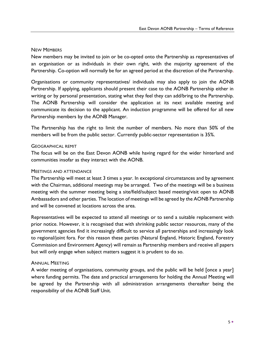#### NEW MEMBERS

New members may be invited to join or be co-opted onto the Partnership as representatives of an organisation or as individuals in their own right, with the majority agreement of the Partnership. Co-option will normally be for an agreed period at the discretion of the Partnership.

Organisations or community representatives/ individuals may also apply to join the AONB Partnership. If applying, applicants should present their case to the AONB Partnership either in writing or by personal presentation, stating what they feel they can add/bring to the Partnership. The AONB Partnership will consider the application at its next available meeting and communicate its decision to the applicant. An induction programme will be offered for all new Partnership members by the AONB Manager.

The Partnership has the right to limit the number of members. No more than 50% of the members will be from the public sector. Currently public-sector representation is 35%.

## GEOGRAPHICAL REMIT

The focus will be on the East Devon AONB while having regard for the wider hinterland and communities insofar as they interact with the AONB.

#### MEETINGS AND ATTENDANCE

The Partnership will meet at least 3 times a year. In exceptional circumstances and by agreement with the Chairman, additional meetings may be arranged. Two of the meetings will be a business meeting with the summer meeting being a site/field/subject based meeting/visit open to AONB Ambassadors and other parties. The location of meetings will be agreed by the AONB Partnership and will be convened at locations across the area.

Representatives will be expected to attend all meetings or to send a suitable replacement with prior notice. However, it is recognised that with shrinking public sector resources, many of the government agencies find it increasingly difficult to service all partnerships and increasingly look to regional/joint fora. For this reason these parties (Natural England, Historic England, Forestry Commission and Environment Agency) will remain as Partnership members and receive all papers but will only engage when subject matters suggest it is prudent to do so.

# ANNUAL MEETING

A wider meeting of organisations, community groups, and the public will be held [once a year] where funding permits. The date and practical arrangements for holding the Annual Meeting will be agreed by the Partnership with all administration arrangements thereafter being the responsibility of the AONB Staff Unit.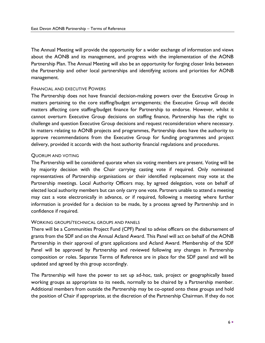The Annual Meeting will provide the opportunity for a wider exchange of information and views about the AONB and its management, and progress with the implementation of the AONB Partnership Plan. The Annual Meeting will also be an opportunity for forging closer links between the Partnership and other local partnerships and identifying actions and priorities for AONB management.

#### FINANCIAL AND EXECUTIVE POWERS

The Partnership does not have financial decision-making powers over the Executive Group in matters pertaining to the core staffing/budget arrangements; the Executive Group will decide matters affecting core staffing/budget finance for Partnership to endorse. However, whilst it cannot overturn Executive Group decisions on staffing finance, Partnership has the right to challenge and question Executive Group decisions and request reconsideration where necessary. In matters relating to AONB projects and programmes, Partnership does have the authority to approve recommendations from the Executive Group for funding programmes and project delivery, provided it accords with the host authority financial regulations and procedures.

#### QUORUM AND VOTING

The Partnership will be considered quorate when six voting members are present. Voting will be by majority decision with the Chair carrying casting vote if required. Only nominated representatives of Partnership organisations or their identified replacement may vote at the Partnership meetings. Local Authority Officers may, by agreed delegation, vote on behalf of elected local authority members but can only carry one vote. Partners unable to attend a meeting may cast a vote electronically in advance, or if required, following a meeting where further information is provided for a decision to be made, by a process agreed by Partnership and in confidence if required.

#### WORKING GROUPS/TECHNICAL GROUPS AND PANELS

There will be a Communities Project Fund (CPF) Panel to advise officers on the disbursement of grants from the SDF and on the Annual Acland Award. This Panel will act on behalf of the AONB Partnership in their approval of grant applications and Acland Award. Membership of the SDF Panel will be approved by Partnership and reviewed following any changes in Partnership composition or roles. Separate Terms of Reference are in place for the SDF panel and will be updated and agreed by this group accordingly.

The Partnership will have the power to set up ad-hoc, task, project or geographically based working groups as appropriate to its needs, normally to be chaired by a Partnership member. Additional members from outside the Partnership may be co-opted onto these groups and hold the position of Chair if appropriate, at the discretion of the Partnership Chairman. If they do not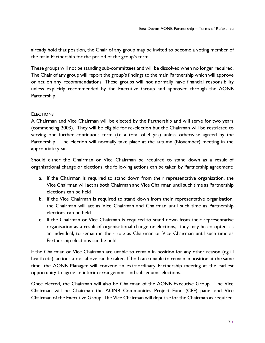already hold that position, the Chair of any group may be invited to become a voting member of the main Partnership for the period of the group's term.

These groups will not be standing sub-committees and will be dissolved when no longer required. The Chair of any group will report the group's findings to the main Partnership which will approve or act on any recommendations. These groups will not normally have financial responsibility unless explicitly recommended by the Executive Group and approved through the AONB Partnership.

# **ELECTIONS**

A Chairman and Vice Chairman will be elected by the Partnership and will serve for two years (commencing 2003). They will be eligible for re-election but the Chairman will be restricted to serving one further continuous term (i.e a total of 4 yrs) unless otherwise agreed by the Partnership. The election will normally take place at the autumn (November) meeting in the appropriate year.

Should either the Chairman or Vice Chairman be required to stand down as a result of organisational change or elections, the following actions can be taken by Partnership agreement:

- a. If the Chairman is required to stand down from their representative organisation, the Vice Chairman will act as both Chairman and Vice Chairman until such time as Partnership elections can be held
- b. If the Vice Chairman is required to stand down from their representative organisation, the Chairman will act as Vice Chairman and Chairman until such time as Partnership elections can be held
- c. If the Chairman or Vice Chairman is required to stand down from their representative organisation as a result of organisational change or elections, they may be co-opted, as an individual, to remain in their role as Chairman or Vice Chairman until such time as Partnership elections can be held

If the Chairman or Vice Chairman are unable to remain in position for any other reason (eg ill health etc), actions a-c as above can be taken. If both are unable to remain in position at the same time, the AONB Manager will convene an extraordinary Partnership meeting at the earliest opportunity to agree an interim arrangement and subsequent elections.

Once elected, the Chairman will also be Chairman of the AONB Executive Group. The Vice Chairman will be Chairman the AONB Communities Project Fund (CPF) panel and Vice Chairman of the Executive Group. The Vice Chairman will deputise for the Chairman as required.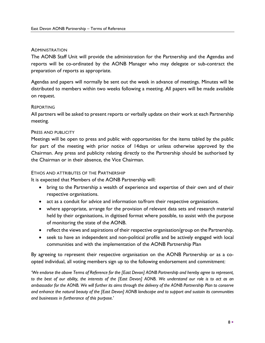#### ADMINISTRATION

The AONB Staff Unit will provide the administration for the Partnership and the Agendas and reports will be co-ordinated by the AONB Manager who may delegate or sub-contract the preparation of reports as appropriate.

Agendas and papers will normally be sent out the week in advance of meetings. Minutes will be distributed to members within two weeks following a meeting. All papers will be made available on request.

#### REPORTING

All partners will be asked to present reports or verbally update on their work at each Partnership meeting.

#### PRESS AND PUBLICITY

Meetings will be open to press and public with opportunities for the items tabled by the public for part of the meeting with prior notice of 14days or unless otherwise approved by the Chairman. Any press and publicity relating directly to the Partnership should be authorised by the Chairman or in their absence, the Vice Chairman.

#### ETHOS AND ATTRIBUTES OF THE PARTNERSHIP

It is expected that Members of the AONB Partnership will:

- bring to the Partnership a wealth of experience and expertise of their own and of their respective organisations.
- act as a conduit for advice and information to/from their respective organisations.
- where appropriate, arrange for the provision of relevant data sets and research material held by their organisations, in digitised format where possible, to assist with the purpose of monitoring the state of the AONB.
- reflect the views and aspirations of their respective organisation/group on the Partnership.
- seek to have an independent and non-political profile and be actively engaged with local communities and with the implementation of the AONB Partnership Plan

By agreeing to represent their respective organisation on the AONB Partnership or as a coopted individual, all voting members sign up to the following endorsement and commitment:

*'We endorse the above Terms of Reference for the [East Devon] AONB Partnership and hereby agree to represent, to the best of our ability, the interests of the [East Devon] AONB. We understand our role is to act as an ambassador for the AONB. We will further its aims through the delivery of the AONB Partnership Plan to conserve and enhance the natural beauty of the [East Devon] AONB landscape and to support and sustain its communities and businesses in furtherance of this purpose.'*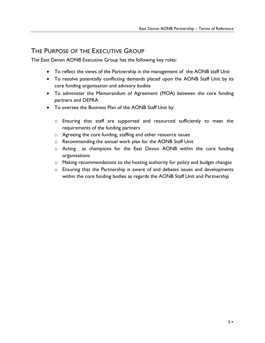# THE PURPOSE OF THE EXECUTIVE GROUP

The East Devon AONB Executive Group has the following key roles:

- To reflect the views of the Partnership in the management of the AONB staff Unit
- To resolve potentially conflicting demands placed upon the AONB Staff Unit by its core funding organisation and advisory bodies
- To administer the Memorandum of Agreement (MOA) between the core funding partners and DEFRA
- To oversee the Business Plan of the AONB Staff Unit by:
	- o Ensuring that staff are supported and resourced sufficiently to meet the requirements of the funding partners
	- o Agreeing the core funding, staffing and other resource issues
	- o Recommending the annual work plan for the AONB Staff Unit
	- o Acting as champions for the East Devon AONB within the core funding organisations
	- o Making recommendations to the hosting authority for policy and budget changes
	- o Ensuring that the Partnership is aware of and debates issues and developments within the core funding bodies as regards the AONB Staff Unit and Partnership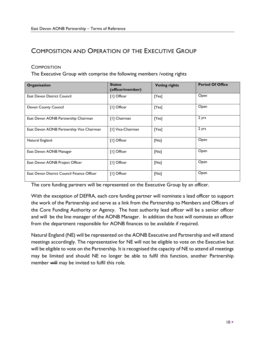# COMPOSITION AND OPERATION OF THE EXECUTIVE GROUP

## **COMPOSITION**

The Executive Group with comprise the following members /voting rights

| Organisation                                | <b>Status</b><br>(officer/member) | <b>Voting rights</b> | <b>Period Of Office</b> |
|---------------------------------------------|-----------------------------------|----------------------|-------------------------|
| <b>East Devon District Council</b>          | [1] Officer                       | [Yes]                | Open                    |
| Devon County Council                        | [1] Officer                       | [Yes]                | Open                    |
| East Devon AONB Partnership Chairman        | [1] Chairman                      | [Yes]                | 2 yrs                   |
| East Devon AONB Partnership Vice Chairman   | [1] Vice-Chairman                 | [Yes]                | 2 yrs                   |
| Natural England                             | [1] Officer                       | [No]                 | Open                    |
| East Devon AONB Manager                     | [1] Officer                       | [No]                 | Open                    |
| East Devon AONB Project Officer             | [1] Officer                       | [No]                 | Open                    |
| East Devon District Council Finance Officer | [I] Officer                       | [No]                 | Open                    |

The core funding partners will be represented on the Executive Group by an officer.

With the exception of DEFRA, each core funding partner will nominate a lead officer to support the work of the Partnership and serve as a link from the Partnership to Members and Officers of the Core Funding Authority or Agency. The host authority lead officer will be a senior officer and will be the line manager of the AONB Manager. In addition the host will nominate an officer from the department responsible for AONB finances to be available if required.

Natural England (NE) will be represented on the AONB Executive and Partnership and will attend meetings accordingly. The representative for NE will not be eligible to vote on the Executive but will be eligible to vote on the Partnership. It is recognised the capacity of NE to attend all meetings may be limited and should NE no longer be able to fulfil this function, another Partnership member will may be invited to fulfil this role.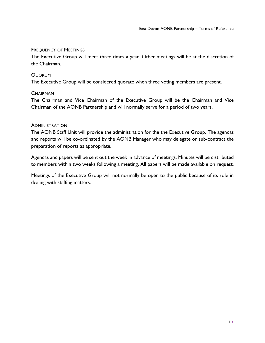## FREQUENCY OF MEETINGS

The Executive Group will meet three times a year. Other meetings will be at the discretion of the Chairman.

## QUORUM

The Executive Group will be considered quorate when three voting members are present.

## **CHAIRMAN**

The Chairman and Vice Chairman of the Executive Group will be the Chairman and Vice Chairman of the AONB Partnership and will normally serve for a period of two years.

## **ADMINISTRATION**

The AONB Staff Unit will provide the administration for the the Executive Group. The agendas and reports will be co-ordinated by the AONB Manager who may delegate or sub-contract the preparation of reports as appropriate.

Agendas and papers will be sent out the week in advance of meetings. Minutes will be distributed to members within two weeks following a meeting. All papers will be made available on request.

Meetings of the Executive Group will not normally be open to the public because of its role in dealing with staffing matters.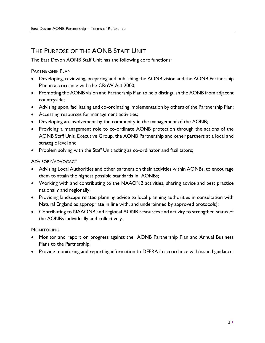# THE PURPOSE OF THE AONB STAFF UNIT

The East Devon AONB Staff Unit has the following core functions:

PARTNERSHIP PLAN

- Developing, reviewing, preparing and publishing the AONB vision and the AONB Partnership Plan in accordance with the CRoW Act 2000;
- Promoting the AONB vision and Partnership Plan to help distinguish the AONB from adjacent countryside;
- Advising upon, facilitating and co-ordinating implementation by others of the Partnership Plan;
- Accessing resources for management activities;
- Developing an involvement by the community in the management of the AONB;
- Providing a management role to co-ordinate AONB protection through the actions of the AONB Staff Unit, Executive Group, the AONB Partnership and other partners at a local and strategic level and
- Problem solving with the Staff Unit acting as co-ordinator and facilitators;

# ADVISORY/ADVOCACY

- Advising Local Authorities and other partners on their activities within AONBs, to encourage them to attain the highest possible standards in AONBs;
- Working with and contributing to the NAAONB activities, sharing advice and best practice nationally and regionally;
- Providing landscape related planning advice to local planning authorities in consultation with Natural England as appropriate in line with, and underpinned by approved protocols);
- Contributing to NAAONB and regional AONB resources and activity to strengthen status of the AONBs individually and collectively.

# **MONITORING**

- Monitor and report on progress against the AONB Partnership Plan and Annual Business Plans to the Partnership.
- Provide monitoring and reporting information to DEFRA in accordance with issued guidance.